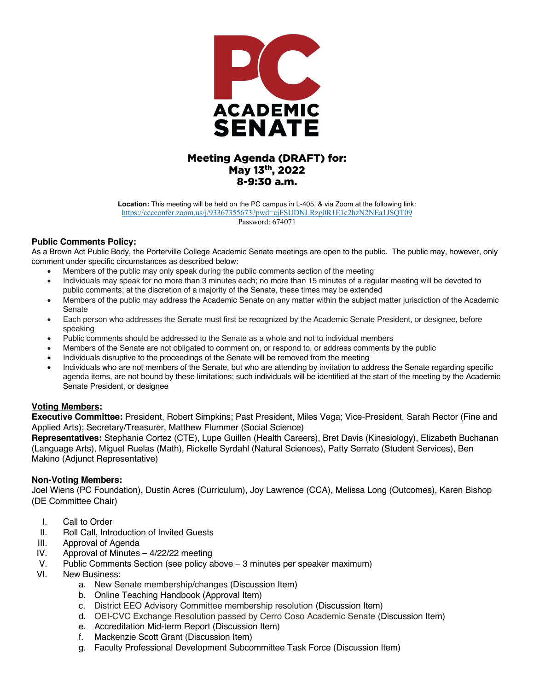

# Meeting Agenda (DRAFT) for: May 13th, 2022 8-9:30 a.m.

**Location:** This meeting will be held on the PC campus in L-405, & via Zoom at the following link: https://cccconfer.zoom.us/j/93367355673?pwd=cjFSUDNLRzg0R1E1c2hzN2NEa1JSQT09

Password: 674071

## **Public Comments Policy:**

As a Brown Act Public Body, the Porterville College Academic Senate meetings are open to the public. The public may, however, only comment under specific circumstances as described below:

- Members of the public may only speak during the public comments section of the meeting
- Individuals may speak for no more than 3 minutes each; no more than 15 minutes of a regular meeting will be devoted to public comments; at the discretion of a majority of the Senate, these times may be extended
- Members of the public may address the Academic Senate on any matter within the subject matter jurisdiction of the Academic Senate
- Each person who addresses the Senate must first be recognized by the Academic Senate President, or designee, before speaking
- Public comments should be addressed to the Senate as a whole and not to individual members
- Members of the Senate are not obligated to comment on, or respond to, or address comments by the public
- Individuals disruptive to the proceedings of the Senate will be removed from the meeting
- Individuals who are not members of the Senate, but who are attending by invitation to address the Senate regarding specific agenda items, are not bound by these limitations; such individuals will be identified at the start of the meeting by the Academic Senate President, or designee

### **Voting Members:**

**Executive Committee:** President, Robert Simpkins; Past President, Miles Vega; Vice-President, Sarah Rector (Fine and Applied Arts); Secretary/Treasurer, Matthew Flummer (Social Science)

**Representatives:** Stephanie Cortez (CTE), Lupe Guillen (Health Careers), Bret Davis (Kinesiology), Elizabeth Buchanan (Language Arts), Miguel Ruelas (Math), Rickelle Syrdahl (Natural Sciences), Patty Serrato (Student Services), Ben Makino (Adjunct Representative)

### **Non-Voting Members:**

Joel Wiens (PC Foundation), Dustin Acres (Curriculum), Joy Lawrence (CCA), Melissa Long (Outcomes), Karen Bishop (DE Committee Chair)

- I. Call to Order
- II. Roll Call, Introduction of Invited Guests
- III. Approval of Agenda
- IV. Approval of Minutes 4/22/22 meeting
- V. Public Comments Section (see policy above 3 minutes per speaker maximum)
- VI. New Business:
	- a. New Senate membership/changes (Discussion Item)
	- b. Online Teaching Handbook (Approval Item)
	- c. District EEO Advisory Committee membership resolution (Discussion Item)
	- d. OEI-CVC Exchange Resolution passed by Cerro Coso Academic Senate (Discussion Item)
	- e. Accreditation Mid-term Report (Discussion Item)
	- f. Mackenzie Scott Grant (Discussion Item)
	- g. Faculty Professional Development Subcommittee Task Force (Discussion Item)